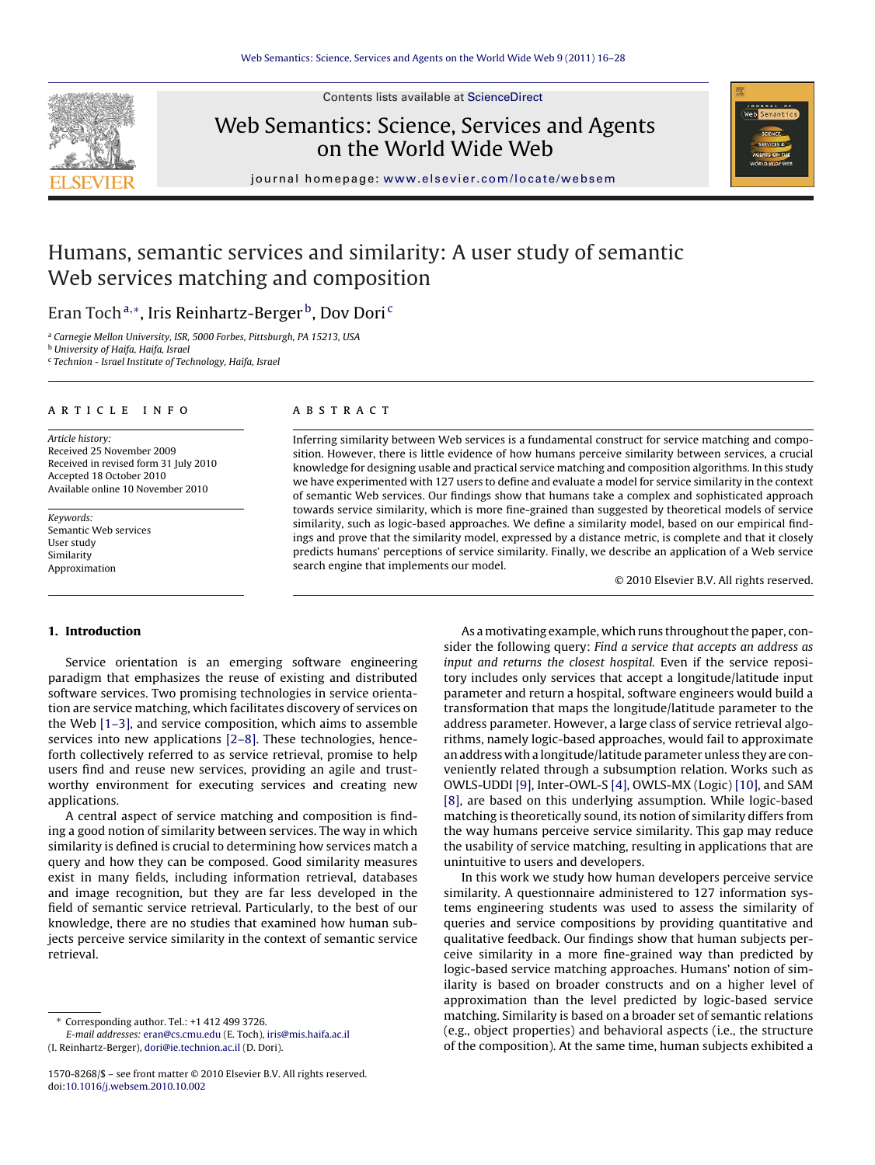### Contents lists available at [ScienceDirect](http://www.sciencedirect.com/science/journal/15708268)

## Web Semantics: Science, Services and Agents on the World Wide Web



journal homepage: [www.elsevier.com/locate/websem](http://www.elsevier.com/locate/websem)

# Humans, semantic services and similarity: A user study of semantic Web services matching and composition

## Eran Toch<sup>a,∗</sup>, Iris Reinhartz-Berger<sup>b</sup>. Dov Dori<sup>c</sup>

<sup>a</sup> Carnegie Mellon University, ISR, 5000 Forbes, Pittsburgh, PA 15213, USA

**b** University of Haifa, Haifa, Israel

<sup>c</sup> Technion - Israel Institute of Technology, Haifa, Israel

#### article info

Article history: Received 25 November 2009 Received in revised form 31 July 2010 Accepted 18 October 2010 Available online 10 November 2010

Keywords: Semantic Web services User study Similarity Approximation

## ABSTRACT

Inferring similarity between Web services is a fundamental construct for service matching and composition. However, there is little evidence of how humans perceive similarity between services, a crucial knowledge for designing usable and practical service matching and composition algorithms. In this study we have experimented with 127 users to define and evaluate a model for service similarity in the context of semantic Web services. Our findings show that humans take a complex and sophisticated approach towards service similarity, which is more fine-grained than suggested by theoretical models of service similarity, such as logic-based approaches. We define a similarity model, based on our empirical findings and prove that the similarity model, expressed by a distance metric, is complete and that it closely predicts humans' perceptions of service similarity. Finally, we describe an application of a Web service search engine that implements our model.

© 2010 Elsevier B.V. All rights reserved.

## **1. Introduction**

Service orientation is an emerging software engineering paradigm that emphasizes the reuse of existing and distributed software services. Two promising technologies in service orientation are service matching, which facilitates discovery of services on the Web [\[1–3\], a](#page-12-0)nd service composition, which aims to assemble services into new applications [\[2–8\].](#page-12-0) These technologies, henceforth collectively referred to as service retrieval, promise to help users find and reuse new services, providing an agile and trustworthy environment for executing services and creating new applications.

A central aspect of service matching and composition is finding a good notion of similarity between services. The way in which similarity is defined is crucial to determining how services match a query and how they can be composed. Good similarity measures exist in many fields, including information retrieval, databases and image recognition, but they are far less developed in the field of semantic service retrieval. Particularly, to the best of our knowledge, there are no studies that examined how human subjects perceive service similarity in the context of semantic service retrieval.

As a motivating example, which runs throughout the paper, consider the following query: Find a service that accepts an address as input and returns the closest hospital. Even if the service repository includes only services that accept a longitude/latitude input parameter and return a hospital, software engineers would build a transformation that maps the longitude/latitude parameter to the address parameter. However, a large class of service retrieval algorithms, namely logic-based approaches, would fail to approximate an address with a longitude/latitude parameter unless they are conveniently related through a subsumption relation. Works such as OWLS-UDDI [\[9\], I](#page-12-0)nter-OWL-S [\[4\], O](#page-12-0)WLS-MX (Logic) [\[10\], a](#page-12-0)nd SAM [\[8\],](#page-12-0) are based on this underlying assumption. While logic-based matching is theoretically sound, its notion of similarity differs from the way humans perceive service similarity. This gap may reduce the usability of service matching, resulting in applications that are unintuitive to users and developers.

In this work we study how human developers perceive service similarity. A questionnaire administered to 127 information systems engineering students was used to assess the similarity of queries and service compositions by providing quantitative and qualitative feedback. Our findings show that human subjects perceive similarity in a more fine-grained way than predicted by logic-based service matching approaches. Humans' notion of similarity is based on broader constructs and on a higher level of approximation than the level predicted by logic-based service matching. Similarity is based on a broader set of semantic relations (e.g., object properties) and behavioral aspects (i.e., the structure of the composition). At the same time, human subjects exhibited a

<sup>∗</sup> Corresponding author. Tel.: +1 412 499 3726.

E-mail addresses: [eran@cs.cmu.edu](mailto:eran@cs.cmu.edu) (E. Toch), [iris@mis.haifa.ac.il](mailto:iris@mis.haifa.ac.il) (I. Reinhartz-Berger), [dori@ie.technion.ac.il](mailto:dori@ie.technion.ac.il) (D. Dori).

<sup>1570-8268/\$ –</sup> see front matter © 2010 Elsevier B.V. All rights reserved. doi:[10.1016/j.websem.2010.10.002](dx.doi.org/10.1016/j.websem.2010.10.002)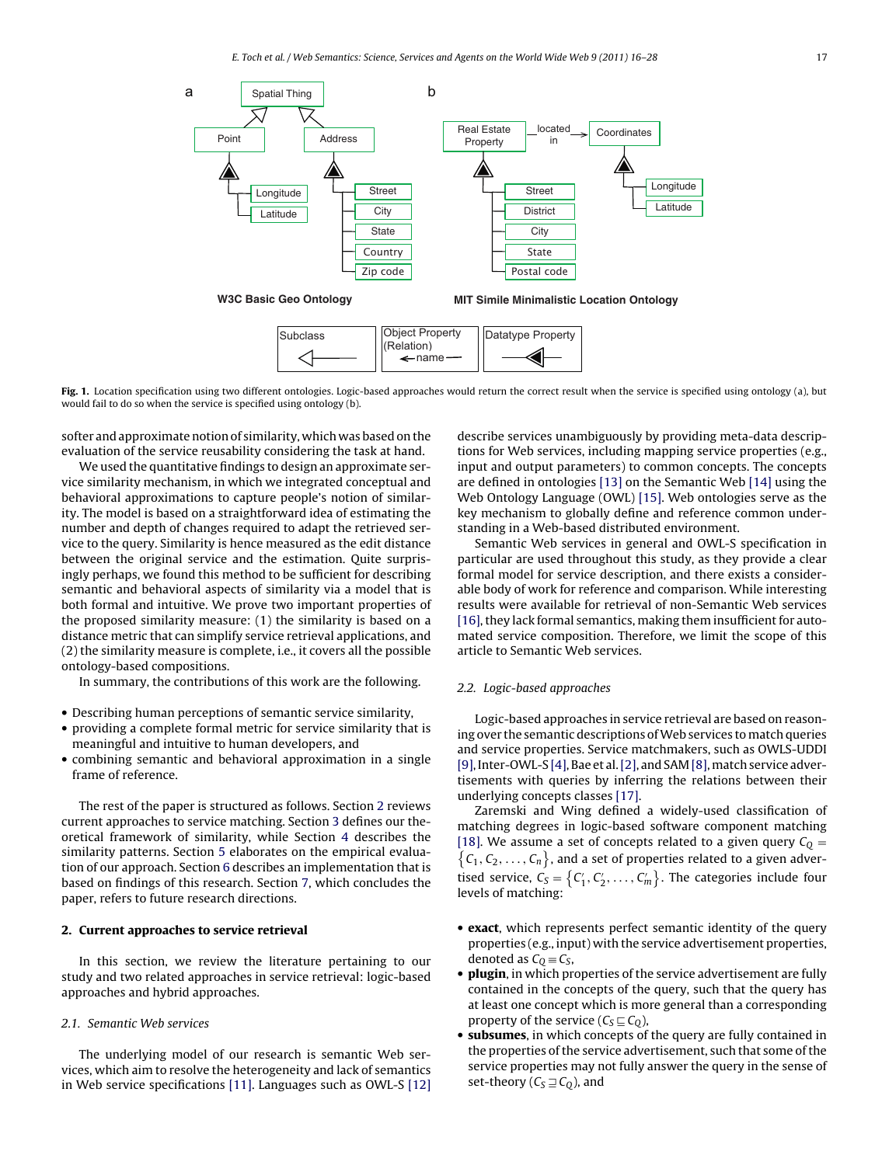<span id="page-1-0"></span>

Fig. 1. Location specification using two different ontologies. Logic-based approaches would return the correct result when the service is specified using ontology (a), but would fail to do so when the service is specified using ontology (b).

softer and approximate notion of similarity, which was based on the evaluation of the service reusability considering the task at hand.

We used the quantitative findings to design an approximate service similarity mechanism, in which we integrated conceptual and behavioral approximations to capture people's notion of similarity. The model is based on a straightforward idea of estimating the number and depth of changes required to adapt the retrieved service to the query. Similarity is hence measured as the edit distance between the original service and the estimation. Quite surprisingly perhaps, we found this method to be sufficient for describing semantic and behavioral aspects of similarity via a model that is both formal and intuitive. We prove two important properties of the proposed similarity measure: (1) the similarity is based on a distance metric that can simplify service retrieval applications, and (2) the similarity measure is complete, i.e., it covers all the possible ontology-based compositions.

In summary, the contributions of this work are the following.

- Describing human perceptions of semantic service similarity,
- providing a complete formal metric for service similarity that is meaningful and intuitive to human developers, and
- combining semantic and behavioral approximation in a single frame of reference.

The rest of the paper is structured as follows. Section 2 reviews current approaches to service matching. Section [3](#page-2-0) defines our theoretical framework of similarity, while Section [4](#page-3-0) describes the similarity patterns. Section [5](#page-8-0) elaborates on the empirical evaluation of our approach. Section [6](#page-11-0) describes an implementation that is based on findings of this research. Section [7, w](#page-11-0)hich concludes the paper, refers to future research directions.

## **2. Current approaches to service retrieval**

In this section, we review the literature pertaining to our study and two related approaches in service retrieval: logic-based approaches and hybrid approaches.

#### 2.1. Semantic Web services

The underlying model of our research is semantic Web services, which aim to resolve the heterogeneity and lack of semantics in Web service specifications [\[11\]. L](#page-12-0)anguages such as OWL-S [\[12\]](#page-12-0) describe services unambiguously by providing meta-data descriptions for Web services, including mapping service properties (e.g., input and output parameters) to common concepts. The concepts are defined in ontologies [\[13\]](#page-12-0) on the Semantic Web [\[14\]](#page-12-0) using the Web Ontology Language (OWL) [\[15\]. W](#page-12-0)eb ontologies serve as the key mechanism to globally define and reference common understanding in a Web-based distributed environment.

Semantic Web services in general and OWL-S specification in particular are used throughout this study, as they provide a clear formal model for service description, and there exists a considerable body of work for reference and comparison. While interesting results were available for retrieval of non-Semantic Web services [\[16\], t](#page-12-0)hey lack formal semantics, making them insufficient for automated service composition. Therefore, we limit the scope of this article to Semantic Web services.

## 2.2. Logic-based approaches

Logic-based approaches in service retrieval are based on reasoning over the semantic descriptions of Web services to match queries and service properties. Service matchmakers, such as OWLS-UDDI [\[9\], I](#page-12-0)nter-OWL-S [\[4\], B](#page-12-0)ae et al. [\[2\], a](#page-12-0)nd SAM [8], match service advertisements with queries by inferring the relations between their underlying concepts classes [\[17\].](#page-12-0)

Zaremski and Wing defined a widely-used classification of matching degrees in logic-based software component matching [\[18\]. W](#page-12-0)e assume a set of concepts related to a given query  $C_0 =$  $\{C_1, C_2, \ldots, C_n\}$ , and a set of properties related to a given advertised service,  $C_S = \{C'_1, C'_2, \ldots, C'_m\}$ . The categories include four levels of matching:

- **exact**, which represents perfect semantic identity of the query properties (e.g., input) with the service advertisement properties, denoted as  $C_0 \equiv C_S$ ,
- **plugin**, in which properties of the service advertisement are fully contained in the concepts of the query, such that the query has at least one concept which is more general than a corresponding property of the service ( $C_S \sqsubseteq C_O$ ),
- **subsumes**, in which concepts of the query are fully contained in the properties of the service advertisement, such that some of the service properties may not fully answer the query in the sense of set-theory ( $C_S \sqsupseteq C_Q$ ), and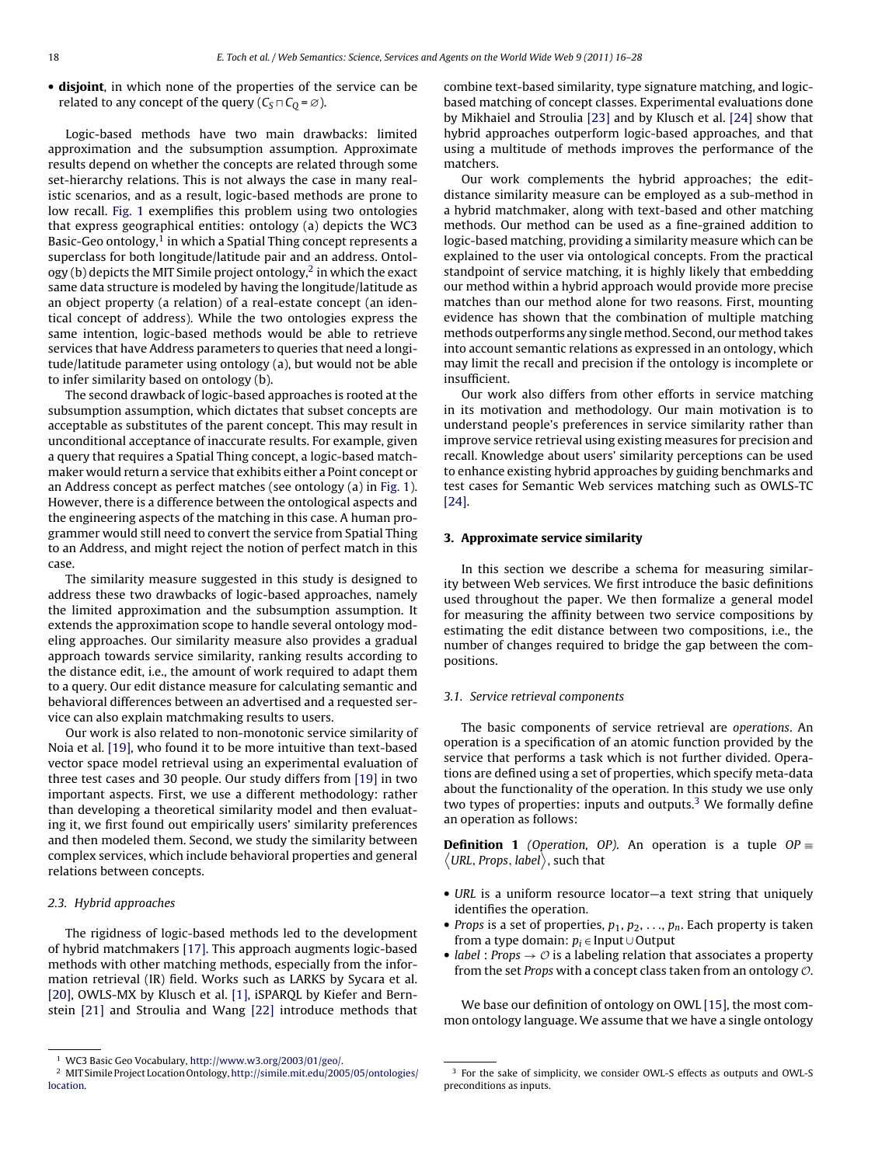<span id="page-2-0"></span>• **disjoint**, in which none of the properties of the service can be related to any concept of the query  $(C_5 \sqcap C_0 = \varnothing)$ .

Logic-based methods have two main drawbacks: limited approximation and the subsumption assumption. Approximate results depend on whether the concepts are related through some set-hierarchy relations. This is not always the case in many realistic scenarios, and as a result, logic-based methods are prone to low recall. [Fig. 1](#page-1-0) exemplifies this problem using two ontologies that express geographical entities: ontology (a) depicts the WC3 Basic-Geo ontology, $1$  in which a Spatial Thing concept represents a superclass for both longitude/latitude pair and an address. Ontol- $\log(y)$  depicts the MIT Simile project ontology,<sup>2</sup> in which the exact same data structure is modeled by having the longitude/latitude as an object property (a relation) of a real-estate concept (an identical concept of address). While the two ontologies express the same intention, logic-based methods would be able to retrieve services that have Address parameters to queries that need a longitude/latitude parameter using ontology (a), but would not be able to infer similarity based on ontology (b).

The second drawback of logic-based approaches is rooted at the subsumption assumption, which dictates that subset concepts are acceptable as substitutes of the parent concept. This may result in unconditional acceptance of inaccurate results. For example, given a query that requires a Spatial Thing concept, a logic-based matchmaker would return a service that exhibits either a Point concept or an Address concept as perfect matches (see ontology (a) in [Fig. 1\).](#page-1-0) However, there is a difference between the ontological aspects and the engineering aspects of the matching in this case. A human programmer would still need to convert the service from Spatial Thing to an Address, and might reject the notion of perfect match in this case.

The similarity measure suggested in this study is designed to address these two drawbacks of logic-based approaches, namely the limited approximation and the subsumption assumption. It extends the approximation scope to handle several ontology modeling approaches. Our similarity measure also provides a gradual approach towards service similarity, ranking results according to the distance edit, i.e., the amount of work required to adapt them to a query. Our edit distance measure for calculating semantic and behavioral differences between an advertised and a requested service can also explain matchmaking results to users.

Our work is also related to non-monotonic service similarity of Noia et al. [\[19\], w](#page-12-0)ho found it to be more intuitive than text-based vector space model retrieval using an experimental evaluation of three test cases and 30 people. Our study differs from [\[19\]](#page-12-0) in two important aspects. First, we use a different methodology: rather than developing a theoretical similarity model and then evaluating it, we first found out empirically users' similarity preferences and then modeled them. Second, we study the similarity between complex services, which include behavioral properties and general relations between concepts.

#### 2.3. Hybrid approaches

The rigidness of logic-based methods led to the development of hybrid matchmakers [\[17\]. T](#page-12-0)his approach augments logic-based methods with other matching methods, especially from the information retrieval (IR) field. Works such as LARKS by Sycara et al. [\[20\],](#page-12-0) OWLS-MX by Klusch et al. [\[1\], i](#page-12-0)SPARQL by Kiefer and Bernstein [\[21\]](#page-12-0) and Stroulia and Wang [\[22\]](#page-12-0) introduce methods that combine text-based similarity, type signature matching, and logicbased matching of concept classes. Experimental evaluations done by Mikhaiel and Stroulia [\[23\]](#page-12-0) and by Klusch et al. [\[24\]](#page-12-0) show that hybrid approaches outperform logic-based approaches, and that using a multitude of methods improves the performance of the matchers.

Our work complements the hybrid approaches; the editdistance similarity measure can be employed as a sub-method in a hybrid matchmaker, along with text-based and other matching methods. Our method can be used as a fine-grained addition to logic-based matching, providing a similarity measure which can be explained to the user via ontological concepts. From the practical standpoint of service matching, it is highly likely that embedding our method within a hybrid approach would provide more precise matches than our method alone for two reasons. First, mounting evidence has shown that the combination of multiple matching methods outperforms any single method. Second, our method takes into account semantic relations as expressed in an ontology, which may limit the recall and precision if the ontology is incomplete or insufficient.

Our work also differs from other efforts in service matching in its motivation and methodology. Our main motivation is to understand people's preferences in service similarity rather than improve service retrieval using existing measures for precision and recall. Knowledge about users' similarity perceptions can be used to enhance existing hybrid approaches by guiding benchmarks and test cases for Semantic Web services matching such as OWLS-TC [\[24\].](#page-12-0)

### **3. Approximate service similarity**

In this section we describe a schema for measuring similarity between Web services. We first introduce the basic definitions used throughout the paper. We then formalize a general model for measuring the affinity between two service compositions by estimating the edit distance between two compositions, i.e., the number of changes required to bridge the gap between the compositions.

#### 3.1. Service retrieval components

The basic components of service retrieval are operations. An operation is a specification of an atomic function provided by the service that performs a task which is not further divided. Operations are defined using a set of properties, which specify meta-data about the functionality of the operation. In this study we use only two types of properties: inputs and outputs. $3$  We formally define an operation as follows:

 $\langle$  URL, Props, label $\rangle$ , such that **Definition 1** (Operation, OP). An operation is a tuple  $OP \equiv$ 

- URL is a uniform resource locator—a text string that uniquely identifies the operation.
- Props is a set of properties,  $p_1, p_2, \ldots, p_n$ . Each property is taken from a type domain:  $p_i \in Input \cup Output$
- label : Props  $\rightarrow \mathcal{O}$  is a labeling relation that associates a property from the set Props with a concept class taken from an ontology  $\mathcal{O}$ .

We base our definition of ontology on OWL [\[15\], t](#page-12-0)he most common ontology language. We assume that we have a single ontology

<sup>1</sup> WC3 Basic Geo Vocabulary, <http://www.w3.org/2003/01/geo/>.

<sup>2</sup> MIT Simile Project Location Ontology,[http://simile.mit.edu/2005/05/ontologies/](http://simile.mit.edu/2005/05/ontologies/location) location.

<sup>&</sup>lt;sup>3</sup> For the sake of simplicity, we consider OWL-S effects as outputs and OWL-S preconditions as inputs.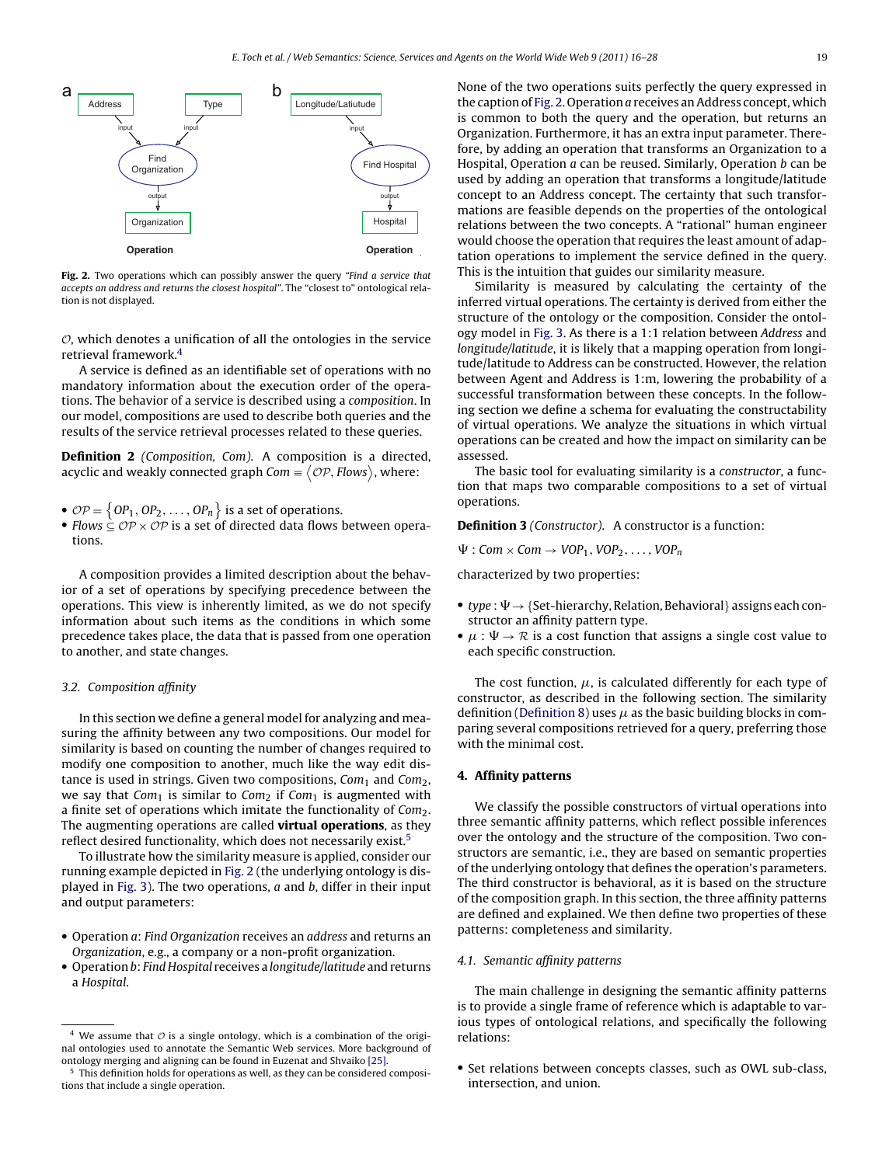<span id="page-3-0"></span>

**Fig. 2.** Two operations which can possibly answer the query "Find a service that accepts an address and returns the closest hospital". The "closest to" ontological relation is not displayed.

 $O$ , which denotes a unification of all the ontologies in the service retrieval framework.4

A service is defined as an identifiable set of operations with no mandatory information about the execution order of the operations. The behavior of a service is described using a composition. In our model, compositions are used to describe both queries and the results of the service retrieval processes related to these queries.

**Definition 2** (Composition, Com). A composition is a directed, acyclic and weakly connected graph Com  $\equiv$   $\langle {\cal OP},$  Flows $\rangle$ , where:

- $OP = \{OP_1, OP_2, \ldots, OP_n\}$  is a set of operations.
- Flows  $\leq$  OP  $\times$  OP is a set of directed data flows between operations.

A composition provides a limited description about the behavior of a set of operations by specifying precedence between the operations. This view is inherently limited, as we do not specify information about such items as the conditions in which some precedence takes place, the data that is passed from one operation to another, and state changes.

## 3.2. Composition affinity

In this section we define a general model for analyzing and measuring the affinity between any two compositions. Our model for similarity is based on counting the number of changes required to modify one composition to another, much like the way edit distance is used in strings. Given two compositions,  $Com_1$  and  $Com_2$ , we say that Com<sub>1</sub> is similar to Com<sub>2</sub> if Com<sub>1</sub> is augmented with a finite set of operations which imitate the functionality of Com<sub>2</sub>. The augmenting operations are called **virtual operations**, as they reflect desired functionality, which does not necessarily exist.<sup>5</sup>

To illustrate how the similarity measure is applied, consider our running example depicted in Fig. 2 (the underlying ontology is dis-played in [Fig. 3\).](#page-4-0) The two operations,  $a$  and  $b$ , differ in their input and output parameters:

- Operation a: Find Organization receives an address and returns an Organization, e.g., a company or a non-profit organization.
- Operation b: Find Hospital receives a longitude/latitude and returns a Hospital.

None of the two operations suits perfectly the query expressed in the caption of Fig. 2. Operation a receives an Address concept, which is common to both the query and the operation, but returns an Organization. Furthermore, it has an extra input parameter. Therefore, by adding an operation that transforms an Organization to a Hospital, Operation a can be reused. Similarly, Operation b can be used by adding an operation that transforms a longitude/latitude concept to an Address concept. The certainty that such transformations are feasible depends on the properties of the ontological relations between the two concepts. A "rational" human engineer would choose the operation that requires the least amount of adaptation operations to implement the service defined in the query. This is the intuition that guides our similarity measure.

Similarity is measured by calculating the certainty of the inferred virtual operations. The certainty is derived from either the structure of the ontology or the composition. Consider the ontology model in [Fig. 3. A](#page-4-0)s there is a 1:1 relation between Address and longitude/latitude, it is likely that a mapping operation from longitude/latitude to Address can be constructed. However, the relation between Agent and Address is 1:m, lowering the probability of a successful transformation between these concepts. In the following section we define a schema for evaluating the constructability of virtual operations. We analyze the situations in which virtual operations can be created and how the impact on similarity can be assessed.

The basic tool for evaluating similarity is a constructor, a function that maps two comparable compositions to a set of virtual operations.

**Definition 3** (Constructor). A constructor is a function:

 $\Psi: Com \times Com \rightarrow VOP_1, VOP_2, \ldots, VOP_n$ 

characterized by two properties:

- type:  $\Psi \rightarrow \{$  Set-hierarchy, Relation, Behavioral assigns each constructor an affinity pattern type.
- $\mu : \Psi \to \mathcal{R}$  is a cost function that assigns a single cost value to each specific construction.

The cost function,  $\mu$ , is calculated differently for each type of constructor, as described in the following section. The similarity definition [\(Definition 8\)](#page-7-0) uses  $\mu$  as the basic building blocks in comparing several compositions retrieved for a query, preferring those with the minimal cost.

## **4. Affinity patterns**

We classify the possible constructors of virtual operations into three semantic affinity patterns, which reflect possible inferences over the ontology and the structure of the composition. Two constructors are semantic, i.e., they are based on semantic properties of the underlying ontology that defines the operation's parameters. The third constructor is behavioral, as it is based on the structure of the composition graph. In this section, the three affinity patterns are defined and explained. We then define two properties of these patterns: completeness and similarity.

## 4.1. Semantic affinity patterns

The main challenge in designing the semantic affinity patterns is to provide a single frame of reference which is adaptable to various types of ontological relations, and specifically the following relations:

• Set relations between concepts classes, such as OWL sub-class, intersection, and union.

<sup>&</sup>lt;sup>4</sup> We assume that  $\mathcal O$  is a single ontology, which is a combination of the original ontologies used to annotate the Semantic Web services. More background of ontology merging and aligning can be found in Euzenat and Shvaiko [\[25\].](#page-12-0)

<sup>5</sup> This definition holds for operations as well, as they can be considered compositions that include a single operation.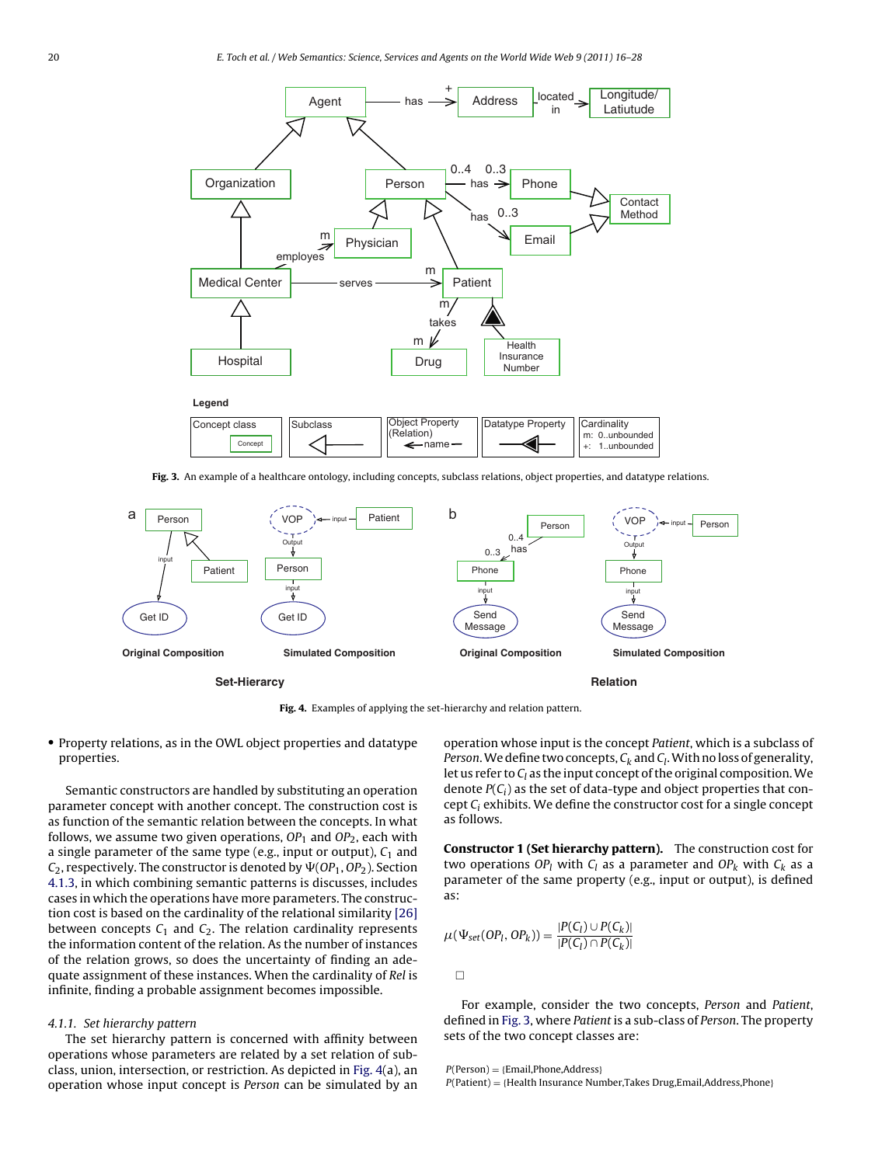<span id="page-4-0"></span>

Fig. 3. An example of a healthcare ontology, including concepts, subclass relations, object properties, and datatype relations.



**Fig. 4.** Examples of applying the set-hierarchy and relation pattern.

• Property relations, as in the OWL object properties and datatype properties.

Semantic constructors are handled by substituting an operation parameter concept with another concept. The construction cost is as function of the semantic relation between the concepts. In what follows, we assume two given operations,  $OP_1$  and  $OP_2$ , each with a single parameter of the same type (e.g., input or output),  $C_1$  and  $C_2$ , respectively. The constructor is denoted by  $\Psi (OP_1, OP_2)$ . Section [4.1.3, i](#page-5-0)n which combining semantic patterns is discusses, includes cases in which the operations have more parameters. The construction cost is based on the cardinality of the relational similarity [\[26\]](#page-12-0) between concepts  $C_1$  and  $C_2$ . The relation cardinality represents the information content of the relation. As the number of instances of the relation grows, so does the uncertainty of finding an adequate assignment of these instances. When the cardinality of Rel is infinite, finding a probable assignment becomes impossible.

## 4.1.1. Set hierarchy pattern

The set hierarchy pattern is concerned with affinity between operations whose parameters are related by a set relation of subclass, union, intersection, or restriction. As depicted in Fig. 4(a), an operation whose input concept is Person can be simulated by an operation whose input is the concept Patient, which is a subclass of Person. We define two concepts,  $C_k$  and  $C_l$ . With no loss of generality, let us refer to  $C_l$  as the input concept of the original composition. We denote  $P(C_i)$  as the set of data-type and object properties that concept  $C_i$  exhibits. We define the constructor cost for a single concept as follows.

**Constructor 1 (Set hierarchy pattern).** The construction cost for two operations OP<sub>l</sub> with C<sub>l</sub> as a parameter and OP<sub>k</sub> with C<sub>k</sub> as a parameter of the same property (e.g., input or output), is defined as:

$$
\mu(\Psi_{\text{set}}(OP_l, OP_k)) = \frac{|P(C_l) \cup P(C_k)|}{|P(C_l) \cap P(C_k)|}
$$

 $\Box$ 

For example, consider the two concepts, Person and Patient, defined in Fig. 3, where Patient is a sub-class of Person. The property sets of the two concept classes are:

 $P(Person) = {Email, Phone, Address}$ 

P(Patient) = {Health Insurance Number,Takes Drug,Email,Address,Phone}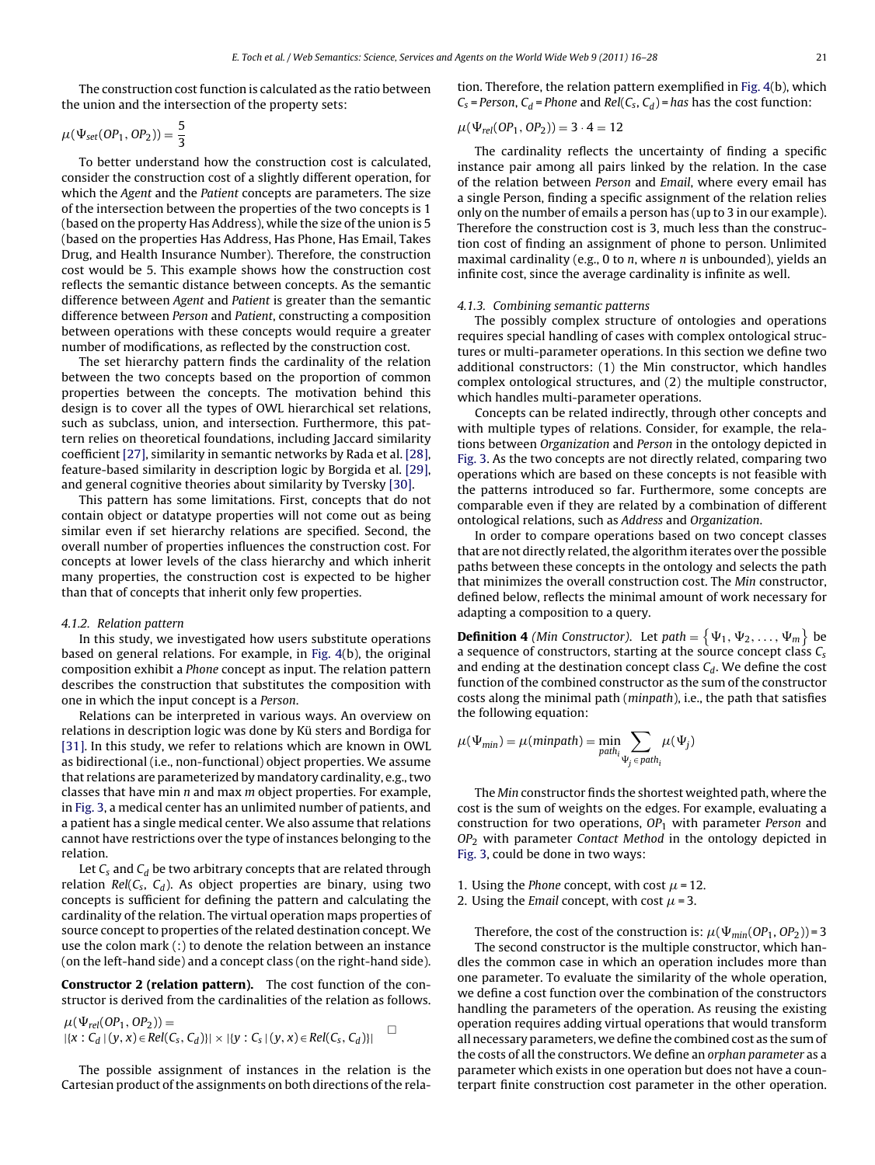<span id="page-5-0"></span>The construction cost function is calculated as the ratio between the union and the intersection of the property sets:

$$
\mu(\Psi_{set}(OP_1, OP_2)) = \frac{5}{3}
$$

To better understand how the construction cost is calculated, consider the construction cost of a slightly different operation, for which the Agent and the Patient concepts are parameters. The size of the intersection between the properties of the two concepts is 1 (based on the property Has Address), while the size of the union is 5 (based on the properties Has Address, Has Phone, Has Email, Takes Drug, and Health Insurance Number). Therefore, the construction cost would be 5. This example shows how the construction cost reflects the semantic distance between concepts. As the semantic difference between Agent and Patient is greater than the semantic difference between Person and Patient, constructing a composition between operations with these concepts would require a greater number of modifications, as reflected by the construction cost.

The set hierarchy pattern finds the cardinality of the relation between the two concepts based on the proportion of common properties between the concepts. The motivation behind this design is to cover all the types of OWL hierarchical set relations, such as subclass, union, and intersection. Furthermore, this pattern relies on theoretical foundations, including Jaccard similarity coefficient [\[27\], s](#page-12-0)imilarity in semantic networks by Rada et al. [\[28\],](#page-12-0) feature-based similarity in description logic by Borgida et al. [\[29\],](#page-12-0) and general cognitive theories about similarity by Tversky [\[30\].](#page-12-0)

This pattern has some limitations. First, concepts that do not contain object or datatype properties will not come out as being similar even if set hierarchy relations are specified. Second, the overall number of properties influences the construction cost. For concepts at lower levels of the class hierarchy and which inherit many properties, the construction cost is expected to be higher than that of concepts that inherit only few properties.

#### 4.1.2. Relation pattern

In this study, we investigated how users substitute operations based on general relations. For example, in [Fig. 4\(b](#page-4-0)), the original composition exhibit a Phone concept as input. The relation pattern describes the construction that substitutes the composition with one in which the input concept is a Person.

Relations can be interpreted in various ways. An overview on relations in description logic was done by Kü sters and Bordiga for [\[31\]. I](#page-12-0)n this study, we refer to relations which are known in OWL as bidirectional (i.e., non-functional) object properties. We assume that relations are parameterized by mandatory cardinality, e.g., two classes that have min  $n$  and max  $m$  object properties. For example, in [Fig. 3, a](#page-4-0) medical center has an unlimited number of patients, and a patient has a single medical center. We also assume that relations cannot have restrictions over the type of instances belonging to the relation.

Let  $C_s$  and  $C_d$  be two arbitrary concepts that are related through relation Rel( $C_s$ ,  $C_d$ ). As object properties are binary, using two concepts is sufficient for defining the pattern and calculating the cardinality of the relation. The virtual operation maps properties of source concept to properties of the related destination concept. We use the colon mark (:) to denote the relation between an instance (on the left-hand side) and a concept class (on the right-hand side).

**Constructor 2 (relation pattern).** The cost function of the constructor is derived from the cardinalities of the relation as follows.

 $\mu(\Psi_{rel}(OP_1, OP_2)) =$  $|\{x : C_d | (y, x) \in Rel(C_s, C_d)\}| \times |\{y : C_s | (y, x) \in Rel(C_s, C_d)\}|$  $\Box$ 

The possible assignment of instances in the relation is the Cartesian product of the assignments on both directions of the relation. Therefore, the relation pattern exemplified in [Fig. 4\(b](#page-4-0)), which  $C_s$  = Person,  $C_d$  = Phone and Rel( $C_s$ ,  $C_d$ ) = has has the cost function:

$$
\mu(\Psi_{rel}(OP_1, OP_2)) = 3 \cdot 4 = 12
$$

The cardinality reflects the uncertainty of finding a specific instance pair among all pairs linked by the relation. In the case of the relation between Person and Email, where every email has a single Person, finding a specific assignment of the relation relies only on the number of emails a person has (up to 3 in our example). Therefore the construction cost is 3, much less than the construction cost of finding an assignment of phone to person. Unlimited maximal cardinality (e.g., 0 to *n*, where *n* is unbounded), yields an infinite cost, since the average cardinality is infinite as well.

#### 4.1.3. Combining semantic patterns

The possibly complex structure of ontologies and operations requires special handling of cases with complex ontological structures or multi-parameter operations. In this section we define two additional constructors: (1) the Min constructor, which handles complex ontological structures, and (2) the multiple constructor, which handles multi-parameter operations.

Concepts can be related indirectly, through other concepts and with multiple types of relations. Consider, for example, the relations between Organization and Person in the ontology depicted in [Fig. 3. A](#page-4-0)s the two concepts are not directly related, comparing two operations which are based on these concepts is not feasible with the patterns introduced so far. Furthermore, some concepts are comparable even if they are related by a combination of different ontological relations, such as Address and Organization.

In order to compare operations based on two concept classes that are not directly related, the algorithm iterates over the possible paths between these concepts in the ontology and selects the path that minimizes the overall construction cost. The Min constructor, defined below, reflects the minimal amount of work necessary for adapting a composition to a query.

**Definition 4** (Min Constructor). Let path =  $\{\Psi_1, \Psi_2, \dots, \Psi_m\}$  be a sequence of constructors, starting at the source concept class  $C_s$ and ending at the destination concept class  $C_d$ . We define the cost function of the combined constructor as the sum of the constructor costs along the minimal path (minpath), i.e., the path that satisfies the following equation:

$$
\mu(\Psi_{min}) = \mu(minpath) = \min_{path_i} \sum_{\Psi_j \in path_i} \mu(\Psi_j)
$$

The Min constructor finds the shortest weighted path, where the cost is the sum of weights on the edges. For example, evaluating a construction for two operations,  $OP<sub>1</sub>$  with parameter Person and  $OP<sub>2</sub>$  with parameter Contact Method in the ontology depicted in [Fig. 3, c](#page-4-0)ould be done in two ways:

- 1. Using the Phone concept, with cost  $\mu$  = 12.
- 2. Using the *Email* concept, with cost  $\mu$  = 3.

Therefore, the cost of the construction is:  $\mu(\Psi_{min}(OP_1, OP_2))$  = 3 The second constructor is the multiple constructor, which handles the common case in which an operation includes more than one parameter. To evaluate the similarity of the whole operation, we define a cost function over the combination of the constructors handling the parameters of the operation. As reusing the existing operation requires adding virtual operations that would transform all necessary parameters, we define the combined cost as the sum of the costs of all the constructors. We define an orphan parameter as a parameter which exists in one operation but does not have a counterpart finite construction cost parameter in the other operation.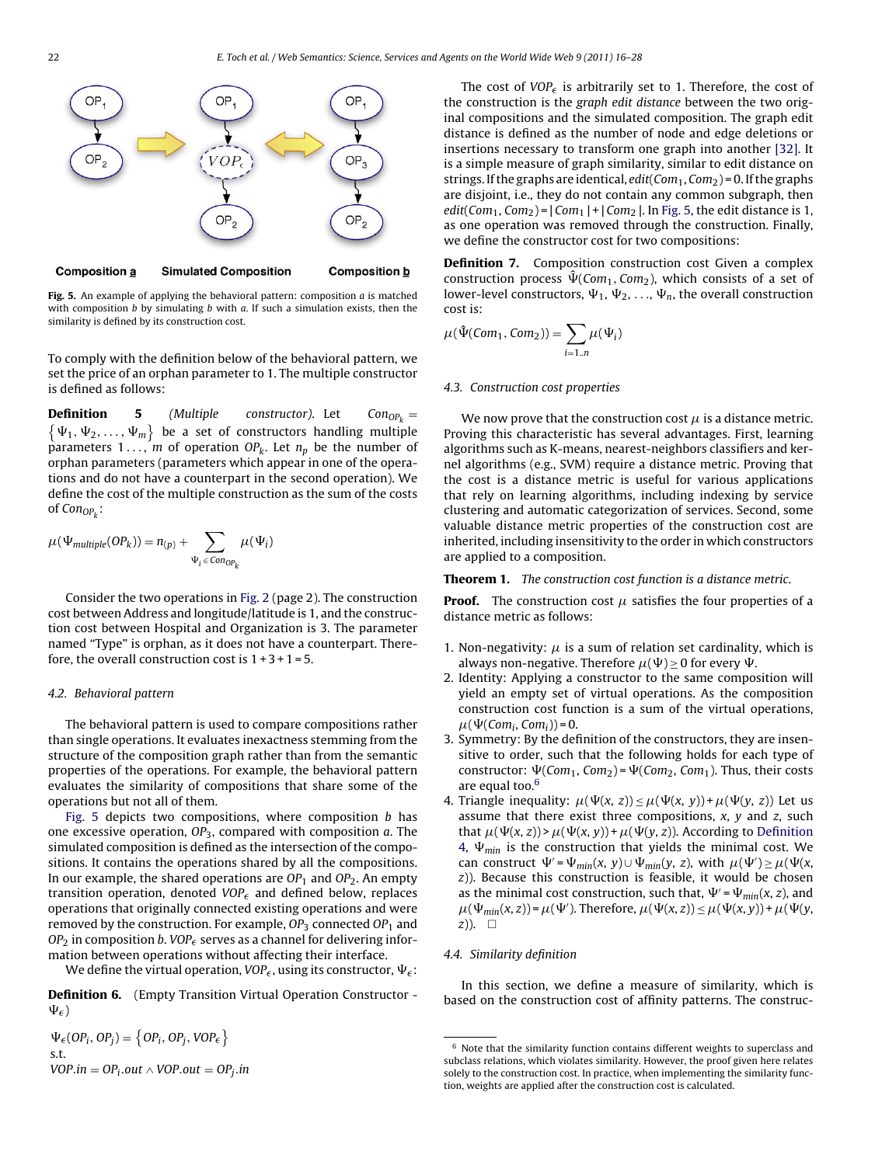

**Fig. 5.** An example of applying the behavioral pattern: composition a is matched with composition  $b$  by simulating  $b$  with  $a$ . If such a simulation exists, then the similarity is defined by its construction cost.

To comply with the definition below of the behavioral pattern, we set the price of an orphan parameter to 1. The multiple constructor is defined as follows:

**Definition 5** (Multiple constructor). Let  $Con_{OP_k} =$  $\{\Psi_1, \Psi_2, \ldots, \Psi_m\}$  be a set of constructors handling multiple parameters 1..., m of operation  $OP_k$ . Let  $n_p$  be the number of orphan parameters (parameters which appear in one of the operations and do not have a counterpart in the second operation). We define the cost of the multiple construction as the sum of the costs of  $Con_{OP_k}$ :

$$
\mu(\Psi_{multiple}(OP_k)) = n_{(p)} + \sum_{\Psi_i \in Con_{OP_k}} \mu(\Psi_i)
$$

Consider the two operations in [Fig. 2](#page-3-0) (page 2). The construction cost between Address and longitude/latitude is 1, and the construction cost between Hospital and Organization is 3. The parameter named "Type" is orphan, as it does not have a counterpart. Therefore, the overall construction cost is  $1 + 3 + 1 = 5$ .

## 4.2. Behavioral pattern

The behavioral pattern is used to compare compositions rather than single operations. It evaluates inexactness stemming from the structure of the composition graph rather than from the semantic properties of the operations. For example, the behavioral pattern evaluates the similarity of compositions that share some of the operations but not all of them.

Fig. 5 depicts two compositions, where composition  $b$  has one excessive operation,  $OP_3$ , compared with composition  $a$ . The simulated composition is defined as the intersection of the compositions. It contains the operations shared by all the compositions. In our example, the shared operations are  $OP_1$  and  $OP_2$ . An empty transition operation, denoted  $VOP_{\epsilon}$  and defined below, replaces operations that originally connected existing operations and were removed by the construction. For example,  $OP_3$  connected  $OP_1$  and  $OP<sub>2</sub>$  in composition b. VOP<sub> $\epsilon$ </sub> serves as a channel for delivering information between operations without affecting their interface.

We define the virtual operation, VOP<sub>E</sub>, using its constructor,  $\Psi_{\epsilon}$ :

**Definition 6.** (Empty Transition Virtual Operation Constructor -  $\Psi_{\epsilon}$ )

```
\Psi_{\epsilon}(OP_i, OP_j) = \{OP_i, OP_j, VOP_{\epsilon}\}\s.t.
VOP.in = OP_i.out \wedge VOP.out = OP_i.in
```
The cost of  $VOP<sub>f</sub>$  is arbitrarily set to 1. Therefore, the cost of the construction is the graph edit distance between the two original compositions and the simulated composition. The graph edit distance is defined as the number of node and edge deletions or insertions necessary to transform one graph into another [\[32\].](#page-12-0) It is a simple measure of graph similarity, similar to edit distance on strings. If the graphs are identical, *edit*( $Com_1$ ,  $Com_2$ ) = 0. If the graphs are disjoint, i.e., they do not contain any common subgraph, then edit(Com<sub>1</sub>, Com<sub>2</sub>) =  $|Com_1|$  +  $|Com_2|$ . In Fig. 5, the edit distance is 1, as one operation was removed through the construction. Finally, we define the constructor cost for two compositions:

**Definition 7.** Composition construction cost Given a complex construction process  $\hat{\Psi}(\textit{Com}_1, \textit{Com}_2)$ , which consists of a set of lower-level constructors,  $\Psi_1, \Psi_2, \ldots, \Psi_n$ , the overall construction cost is:

$$
\mu(\hat{\Psi}(Com_1, Com_2)) = \sum_{i=1..n} \mu(\Psi_i)
$$

#### 4.3. Construction cost properties

We now prove that the construction cost  $\mu$  is a distance metric. Proving this characteristic has several advantages. First, learning algorithms such as K-means, nearest-neighbors classifiers and kernel algorithms (e.g., SVM) require a distance metric. Proving that the cost is a distance metric is useful for various applications that rely on learning algorithms, including indexing by service clustering and automatic categorization of services. Second, some valuable distance metric properties of the construction cost are inherited, including insensitivity to the order in which constructors are applied to a composition.

## **Theorem 1.** The construction cost function is a distance metric.

**Proof.** The construction cost  $\mu$  satisfies the four properties of a distance metric as follows:

- 1. Non-negativity:  $\mu$  is a sum of relation set cardinality, which is always non-negative. Therefore  $\mu(\Psi) \geq 0$  for every  $\Psi$ .
- 2. Identity: Applying a constructor to the same composition will yield an empty set of virtual operations. As the composition construction cost function is a sum of the virtual operations,  $\mu(\Psi(Com_i, Com_i)) = 0.$
- 3. Symmetry: By the definition of the constructors, they are insensitive to order, such that the following holds for each type of constructor:  $\Psi(Com_1, Com_2) = \Psi(Com_2, Com_1)$ . Thus, their costs are equal too.<sup>6</sup>
- 4. Triangle inequality:  $\mu(\Psi(x, z)) \leq \mu(\Psi(x, y)) + \mu(\Psi(y, z))$  Let us assume that there exist three compositions,  $x$ ,  $y$  and  $z$ , such that  $\mu(\Psi(x, z)) > \mu(\Psi(x, y)) + \mu(\Psi(y, z))$ . According to [Definition](#page-5-0) [4,](#page-5-0)  $\Psi_{min}$  is the construction that yields the minimal cost. We can construct  $\Psi' = \Psi_{min}(x, y) \cup \Psi_{min}(y, z)$ , with  $\mu(\Psi') \ge \mu(\Psi(x, z))$ z)). Because this construction is feasible, it would be chosen as the minimal cost construction, such that,  $\Psi' = \Psi_{min}(x, z)$ , and  $\mu(\Psi_{min}(x, z)) = \mu(\Psi')$ . Therefore,  $\mu(\Psi(x, z)) \leq \mu(\Psi(x, y)) + \mu(\Psi(y, z))$ z)). □

#### 4.4. Similarity definition

In this section, we define a measure of similarity, which is based on the construction cost of affinity patterns. The construc-

 $6$  Note that the similarity function contains different weights to superclass and subclass relations, which violates similarity. However, the proof given here relates solely to the construction cost. In practice, when implementing the similarity function, weights are applied after the construction cost is calculated.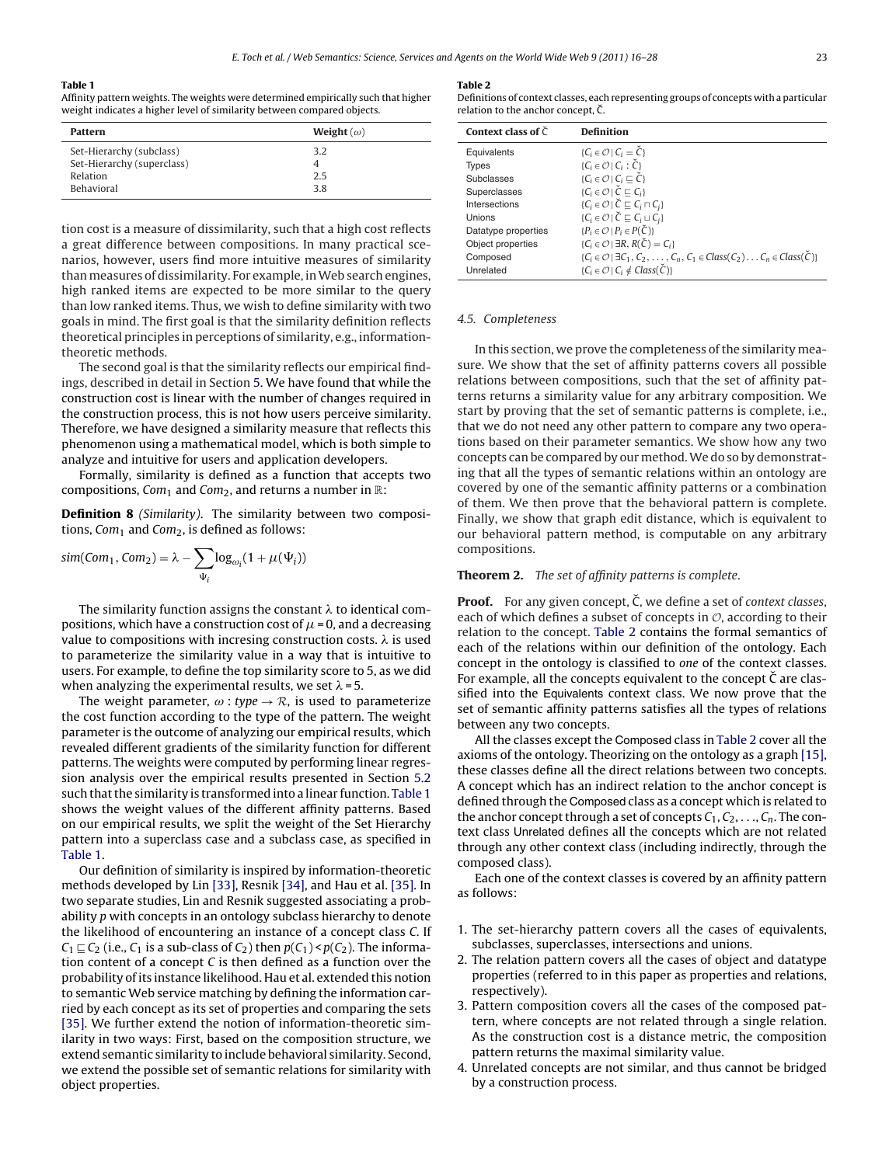#### <span id="page-7-0"></span>**Table 1**

Affinity pattern weights. The weights were determined empirically such that higher weight indicates a higher level of similarity between compared objects.

| <b>Pattern</b>             | Weight $(\omega)$ |
|----------------------------|-------------------|
| Set-Hierarchy (subclass)   | 3.2               |
| Set-Hierarchy (superclass) | 4                 |
| <b>Relation</b>            | 2.5               |
| <b>Behavioral</b>          | 3.8               |

tion cost is a measure of dissimilarity, such that a high cost reflects a great difference between compositions. In many practical scenarios, however, users find more intuitive measures of similarity than measures of dissimilarity. For example, inWeb search engines, high ranked items are expected to be more similar to the query than low ranked items. Thus, we wish to define similarity with two goals in mind. The first goal is that the similarity definition reflects theoretical principles in perceptions of similarity, e.g., informationtheoretic methods.

The second goal is that the similarity reflects our empirical findings, described in detail in Section [5. W](#page-8-0)e have found that while the construction cost is linear with the number of changes required in the construction process, this is not how users perceive similarity. Therefore, we have designed a similarity measure that reflects this phenomenon using a mathematical model, which is both simple to analyze and intuitive for users and application developers.

Formally, similarity is defined as a function that accepts two compositions, Com<sub>1</sub> and Com<sub>2</sub>, and returns a number in  $\mathbb{R}$ :

**Definition 8** (Similarity). The similarity between two compositions,  $Com_1$  and  $Com_2$ , is defined as follows:

$$
sim(Com_1, Com_2) = \lambda - \sum_{\Psi_i} log_{\omega_i} (1 + \mu(\Psi_i))
$$

The similarity function assigns the constant  $\lambda$  to identical compositions, which have a construction cost of  $\mu$  = 0, and a decreasing value to compositions with incresing construction costs.  $\lambda$  is used to parameterize the similarity value in a way that is intuitive to users. For example, to define the top similarity score to 5, as we did when analyzing the experimental results, we set  $\lambda$  = 5.

The weight parameter,  $\omega$  : type  $\rightarrow \mathcal{R}$ , is used to parameterize the cost function according to the type of the pattern. The weight parameter is the outcome of analyzing our empirical results, which revealed different gradients of the similarity function for different patterns. The weights were computed by performing linear regression analysis over the empirical results presented in Section [5.2](#page-9-0) such that the similarity is transformed into a linear function. Table 1 shows the weight values of the different affinity patterns. Based on our empirical results, we split the weight of the Set Hierarchy pattern into a superclass case and a subclass case, as specified in Table 1.

Our definition of similarity is inspired by information-theoretic methods developed by Lin [\[33\], R](#page-12-0)esnik [\[34\], a](#page-12-0)nd Hau et al. [\[35\]. I](#page-12-0)n two separate studies, Lin and Resnik suggested associating a probability p with concepts in an ontology subclass hierarchy to denote the likelihood of encountering an instance of a concept class C. If  $C_1 \sqsubseteq C_2$  (i.e.,  $C_1$  is a sub-class of  $C_2$ ) then  $p(C_1) < p(C_2)$ . The information content of a concept C is then defined as a function over the probability of its instance likelihood. Hau et al. extended this notion to semantic Web service matching by defining the information carried by each concept as its set of properties and comparing the sets [\[35\].](#page-12-0) We further extend the notion of information-theoretic similarity in two ways: First, based on the composition structure, we extend semantic similarity to include behavioral similarity. Second, we extend the possible set of semantic relations for similarity with object properties.

#### **Table 2**

Definitions of context classes, each representing groups of concepts with a particular relation to the anchor concept,  $\check{C}$ .

| Context class of C  | <b>Definition</b>                                                                                                 |
|---------------------|-------------------------------------------------------------------------------------------------------------------|
| Equivalents         | $\{C_i \in \mathcal{O} \mid C_i = \tilde{C}\}\$                                                                   |
| <b>Types</b>        | $\{C_i \in \mathcal{O} \mid C_i : \check{C}\}\$                                                                   |
| Subclasses          | $\{C_i \in \mathcal{O} \mid C_i \sqsubset \check{C}\}\$                                                           |
| Superclasses        | $\{C_i \in \mathcal{O} \mid \check{C} \sqsubset C_i\}$                                                            |
| Intersections       | $\{C_i \in \mathcal{O} \mid \check{C} \sqsubseteq C_i \sqcap C_i\}$                                               |
| Unions              | $\{C_i \in \mathcal{O} \mid \check{C} \sqsubseteq C_i \sqcup C_j\}$                                               |
| Datatype properties | ${P_i \in \mathcal{O} \mid P_i \in P(\check{C})}$                                                                 |
| Object properties   | $\{C_i \in \mathcal{O} \mid \exists R, R(\check{C}) = C_i\}$                                                      |
| Composed            | $\{C_i \in \mathcal{O} \mid \exists C_1, C_2, \ldots, C_n, C_1 \in Class(C_2) \ldots C_n \in Class(\check{C})\}\$ |
| Unrelated           | $\{C_i \in \mathcal{O} \mid C_i \notin Class(\check{C})\}\$                                                       |

#### 4.5. Completeness

In this section, we prove the completeness of the similarity measure. We show that the set of affinity patterns covers all possible relations between compositions, such that the set of affinity patterns returns a similarity value for any arbitrary composition. We start by proving that the set of semantic patterns is complete, i.e., that we do not need any other pattern to compare any two operations based on their parameter semantics. We show how any two concepts can be compared by our method.We do so by demonstrating that all the types of semantic relations within an ontology are covered by one of the semantic affinity patterns or a combination of them. We then prove that the behavioral pattern is complete. Finally, we show that graph edit distance, which is equivalent to our behavioral pattern method, is computable on any arbitrary compositions.

## **Theorem 2.** The set of affinity patterns is complete.

**Proof.** For any given concept,  $\check{C}$ , we define a set of *context classes*, each of which defines a subset of concepts in  $\mathcal{O}$ , according to their relation to the concept. Table 2 contains the formal semantics of each of the relations within our definition of the ontology. Each concept in the ontology is classified to one of the context classes. For example, all the concepts equivalent to the concept  $\dot{C}$  are classified into the Equivalents context class. We now prove that the set of semantic affinity patterns satisfies all the types of relations between any two concepts.

All the classes except the Composed class in Table 2 cover all the axioms of the ontology. Theorizing on the ontology as a graph [\[15\],](#page-12-0) these classes define all the direct relations between two concepts. A concept which has an indirect relation to the anchor concept is defined through the Composed class as a concept which is related to the anchor concept through a set of concepts  $C_1, C_2, \ldots, C_n$ . The context class Unrelated defines all the concepts which are not related through any other context class (including indirectly, through the composed class).

Each one of the context classes is covered by an affinity pattern as follows:

- 1. The set-hierarchy pattern covers all the cases of equivalents, subclasses, superclasses, intersections and unions.
- 2. The relation pattern covers all the cases of object and datatype properties (referred to in this paper as properties and relations, respectively).
- 3. Pattern composition covers all the cases of the composed pattern, where concepts are not related through a single relation. As the construction cost is a distance metric, the composition pattern returns the maximal similarity value.
- 4. Unrelated concepts are not similar, and thus cannot be bridged by a construction process.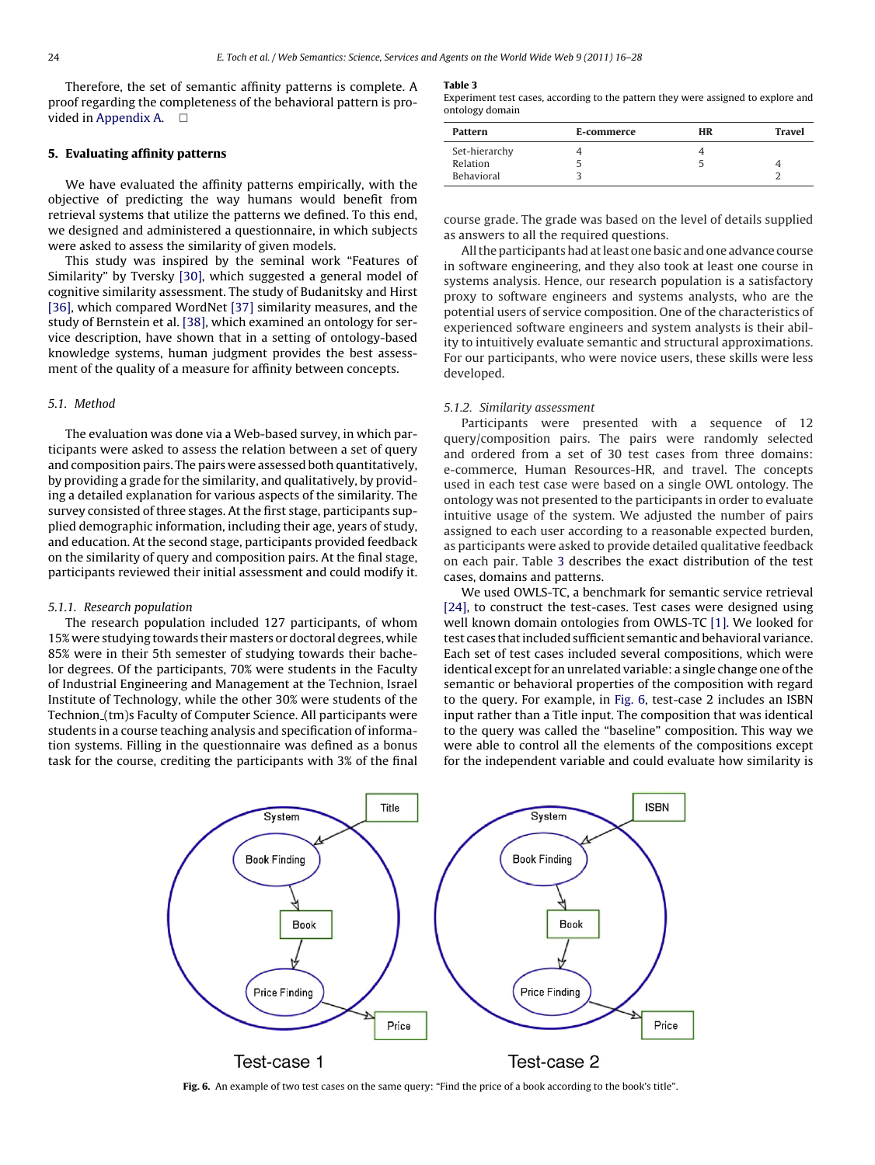<span id="page-8-0"></span>Therefore, the set of semantic affinity patterns is complete. A proof regarding the completeness of the behavioral pattern is pro-vided in [Appendix A.](#page-12-0)  $\;\;\;\Box$ 

## **5. Evaluating affinity patterns**

We have evaluated the affinity patterns empirically, with the objective of predicting the way humans would benefit from retrieval systems that utilize the patterns we defined. To this end, we designed and administered a questionnaire, in which subjects were asked to assess the similarity of given models.

This study was inspired by the seminal work "Features of Similarity" by Tversky [\[30\], w](#page-12-0)hich suggested a general model of cognitive similarity assessment. The study of Budanitsky and Hirst [\[36\], w](#page-12-0)hich compared WordNet [\[37\]](#page-12-0) similarity measures, and the study of Bernstein et al. [\[38\], w](#page-12-0)hich examined an ontology for service description, have shown that in a setting of ontology-based knowledge systems, human judgment provides the best assessment of the quality of a measure for affinity between concepts.

## 5.1. Method

The evaluation was done via a Web-based survey, in which participants were asked to assess the relation between a set of query and composition pairs. The pairs were assessed both quantitatively, by providing a grade for the similarity, and qualitatively, by providing a detailed explanation for various aspects of the similarity. The survey consisted of three stages. At the first stage, participants supplied demographic information, including their age, years of study, and education. At the second stage, participants provided feedback on the similarity of query and composition pairs. At the final stage, participants reviewed their initial assessment and could modify it.

#### 5.1.1. Research population

The research population included 127 participants, of whom 15% were studying towards their masters or doctoral degrees, while 85% were in their 5th semester of studying towards their bachelor degrees. Of the participants, 70% were students in the Faculty of Industrial Engineering and Management at the Technion, Israel Institute of Technology, while the other 30% were students of the Technion (tm)s Faculty of Computer Science. All participants were students in a course teaching analysis and specification of information systems. Filling in the questionnaire was defined as a bonus task for the course, crediting the participants with 3% of the final

#### **Table 3**

Experiment test cases, according to the pattern they were assigned to explore and ontology domain

| <b>Pattern</b> | E-commerce | <b>HR</b> | <b>Travel</b> |
|----------------|------------|-----------|---------------|
| Set-hierarchy  |            |           |               |
| Relation       |            |           |               |
| Behavioral     |            |           |               |

course grade. The grade was based on the level of details supplied as answers to all the required questions.

All the participants had at least one basic and one advance course in software engineering, and they also took at least one course in systems analysis. Hence, our research population is a satisfactory proxy to software engineers and systems analysts, who are the potential users of service composition. One of the characteristics of experienced software engineers and system analysts is their ability to intuitively evaluate semantic and structural approximations. For our participants, who were novice users, these skills were less developed.

#### 5.1.2. Similarity assessment

Participants were presented with a sequence of 12 query/composition pairs. The pairs were randomly selected and ordered from a set of 30 test cases from three domains: e-commerce, Human Resources-HR, and travel. The concepts used in each test case were based on a single OWL ontology. The ontology was not presented to the participants in order to evaluate intuitive usage of the system. We adjusted the number of pairs assigned to each user according to a reasonable expected burden, as participants were asked to provide detailed qualitative feedback on each pair. Table 3 describes the exact distribution of the test cases, domains and patterns.

We used OWLS-TC, a benchmark for semantic service retrieval [\[24\], t](#page-12-0)o construct the test-cases. Test cases were designed using well known domain ontologies from OWLS-TC [\[1\]. W](#page-12-0)e looked for test cases that included sufficient semantic and behavioral variance. Each set of test cases included several compositions, which were identical except for an unrelated variable: a single change one of the semantic or behavioral properties of the composition with regard to the query. For example, in Fig. 6, test-case 2 includes an ISBN input rather than a Title input. The composition that was identical to the query was called the "baseline" composition. This way we were able to control all the elements of the compositions except for the independent variable and could evaluate how similarity is



Fig. 6. An example of two test cases on the same query: "Find the price of a book according to the book's title".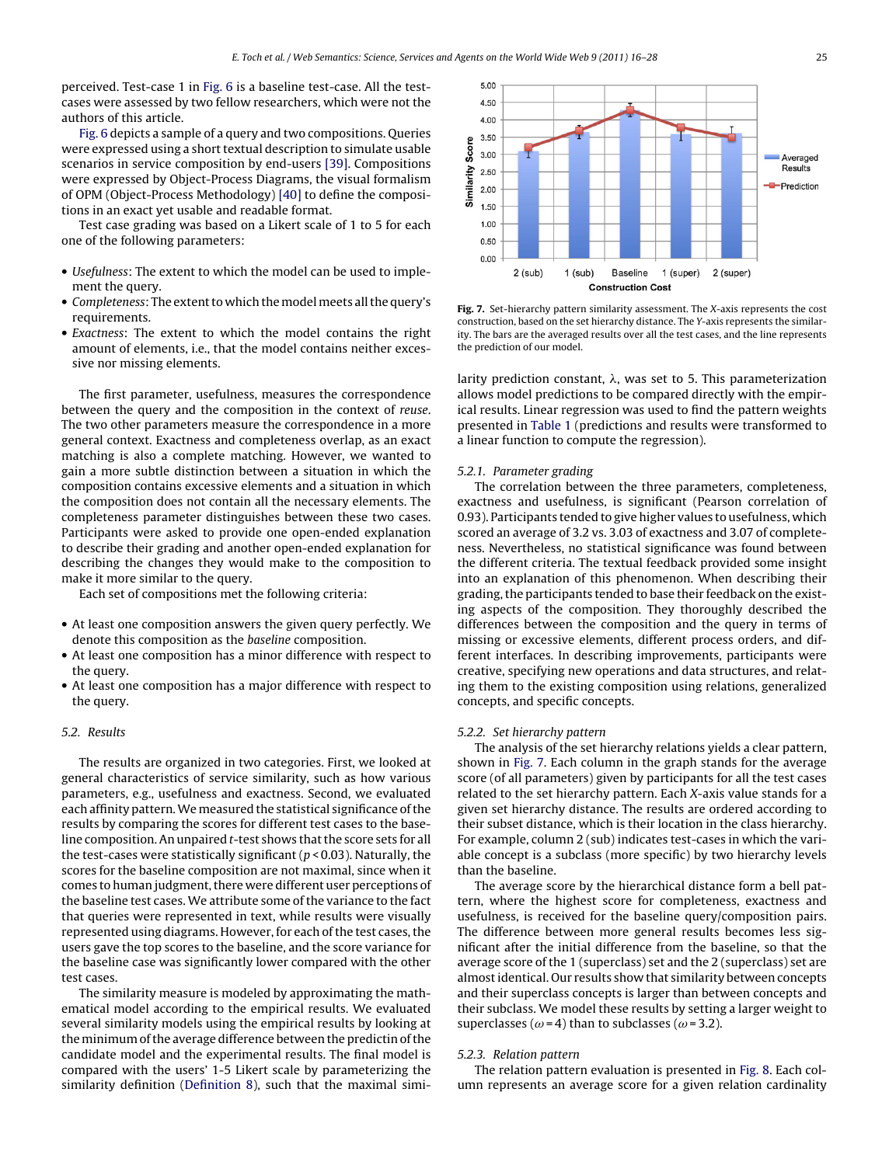<span id="page-9-0"></span>perceived. Test-case 1 in [Fig. 6](#page-8-0) is a baseline test-case. All the testcases were assessed by two fellow researchers, which were not the authors of this article.

[Fig. 6](#page-8-0) depicts a sample of a query and two compositions. Queries were expressed using a short textual description to simulate usable scenarios in service composition by end-users [\[39\]. C](#page-12-0)ompositions were expressed by Object-Process Diagrams, the visual formalism of OPM (Object-Process Methodology) [\[40\]](#page-12-0) to define the compositions in an exact yet usable and readable format.

Test case grading was based on a Likert scale of 1 to 5 for each one of the following parameters:

- Usefulness: The extent to which the model can be used to implement the query.
- Completeness: The extent to which the model meets all the query's requirements.
- Exactness: The extent to which the model contains the right amount of elements, i.e., that the model contains neither excessive nor missing elements.

The first parameter, usefulness, measures the correspondence between the query and the composition in the context of reuse. The two other parameters measure the correspondence in a more general context. Exactness and completeness overlap, as an exact matching is also a complete matching. However, we wanted to gain a more subtle distinction between a situation in which the composition contains excessive elements and a situation in which the composition does not contain all the necessary elements. The completeness parameter distinguishes between these two cases. Participants were asked to provide one open-ended explanation to describe their grading and another open-ended explanation for describing the changes they would make to the composition to make it more similar to the query.

Each set of compositions met the following criteria:

- At least one composition answers the given query perfectly. We denote this composition as the baseline composition.
- At least one composition has a minor difference with respect to the query.
- At least one composition has a major difference with respect to the query.

#### 5.2. Results

The results are organized in two categories. First, we looked at general characteristics of service similarity, such as how various parameters, e.g., usefulness and exactness. Second, we evaluated each affinity pattern.We measured the statistical significance of the results by comparing the scores for different test cases to the baseline composition. An unpaired t-test shows that the score sets for all the test-cases were statistically significant ( $p$  < 0.03). Naturally, the scores for the baseline composition are not maximal, since when it comes to human judgment, there were different user perceptions of the baseline test cases. We attribute some of the variance to the fact that queries were represented in text, while results were visually represented using diagrams. However, for each of the test cases, the users gave the top scores to the baseline, and the score variance for the baseline case was significantly lower compared with the other test cases.

The similarity measure is modeled by approximating the mathematical model according to the empirical results. We evaluated several similarity models using the empirical results by looking at the minimum of the average difference between the predictin of the candidate model and the experimental results. The final model is compared with the users' 1-5 Likert scale by parameterizing the similarity definition ([Definition 8\),](#page-7-0) such that the maximal simi-



**Fig. 7.** Set-hierarchy pattern similarity assessment. The X-axis represents the cost construction, based on the set hierarchy distance. The Y-axis represents the similarity. The bars are the averaged results over all the test cases, and the line represents the prediction of our model.

larity prediction constant,  $\lambda$ , was set to 5. This parameterization allows model predictions to be compared directly with the empirical results. Linear regression was used to find the pattern weights presented in [Table 1](#page-7-0) (predictions and results were transformed to a linear function to compute the regression).

### 5.2.1. Parameter grading

The correlation between the three parameters, completeness, exactness and usefulness, is significant (Pearson correlation of 0.93). Participants tended to give higher values to usefulness, which scored an average of 3.2 vs. 3.03 of exactness and 3.07 of completeness. Nevertheless, no statistical significance was found between the different criteria. The textual feedback provided some insight into an explanation of this phenomenon. When describing their grading, the participants tended to base their feedback on the existing aspects of the composition. They thoroughly described the differences between the composition and the query in terms of missing or excessive elements, different process orders, and different interfaces. In describing improvements, participants were creative, specifying new operations and data structures, and relating them to the existing composition using relations, generalized concepts, and specific concepts.

#### 5.2.2. Set hierarchy pattern

The analysis of the set hierarchy relations yields a clear pattern, shown in Fig. 7. Each column in the graph stands for the average score (of all parameters) given by participants for all the test cases related to the set hierarchy pattern. Each X-axis value stands for a given set hierarchy distance. The results are ordered according to their subset distance, which is their location in the class hierarchy. For example, column 2 (sub) indicates test-cases in which the variable concept is a subclass (more specific) by two hierarchy levels than the baseline.

The average score by the hierarchical distance form a bell pattern, where the highest score for completeness, exactness and usefulness, is received for the baseline query/composition pairs. The difference between more general results becomes less significant after the initial difference from the baseline, so that the average score of the 1 (superclass) set and the 2 (superclass) set are almost identical. Our results show that similarity between concepts and their superclass concepts is larger than between concepts and their subclass. We model these results by setting a larger weight to superclasses ( $\omega$  = 4) than to subclasses ( $\omega$  = 3.2).

#### 5.2.3. Relation pattern

The relation pattern evaluation is presented in [Fig. 8. E](#page-10-0)ach column represents an average score for a given relation cardinality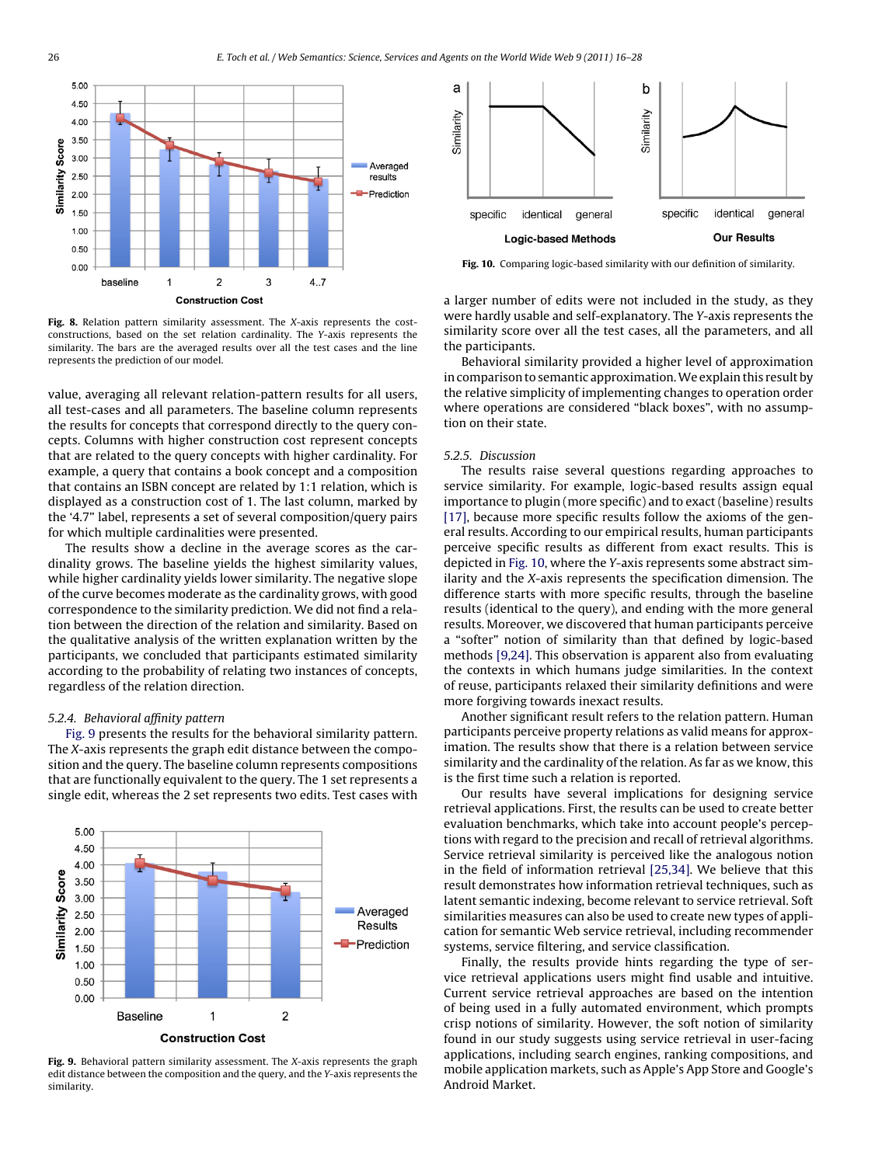<span id="page-10-0"></span>

**Fig. 8.** Relation pattern similarity assessment. The X-axis represents the costconstructions, based on the set relation cardinality. The Y-axis represents the similarity. The bars are the averaged results over all the test cases and the line represents the prediction of our model.

value, averaging all relevant relation-pattern results for all users, all test-cases and all parameters. The baseline column represents the results for concepts that correspond directly to the query concepts. Columns with higher construction cost represent concepts that are related to the query concepts with higher cardinality. For example, a query that contains a book concept and a composition that contains an ISBN concept are related by 1:1 relation, which is displayed as a construction cost of 1. The last column, marked by the '4.7" label, represents a set of several composition/query pairs for which multiple cardinalities were presented.

The results show a decline in the average scores as the cardinality grows. The baseline yields the highest similarity values, while higher cardinality yields lower similarity. The negative slope of the curve becomes moderate as the cardinality grows, with good correspondence to the similarity prediction. We did not find a relation between the direction of the relation and similarity. Based on the qualitative analysis of the written explanation written by the participants, we concluded that participants estimated similarity according to the probability of relating two instances of concepts, regardless of the relation direction.

#### 5.2.4. Behavioral affinity pattern

Fig. 9 presents the results for the behavioral similarity pattern. The X-axis represents the graph edit distance between the composition and the query. The baseline column represents compositions that are functionally equivalent to the query. The 1 set represents a single edit, whereas the 2 set represents two edits. Test cases with



**Fig. 9.** Behavioral pattern similarity assessment. The X-axis represents the graph edit distance between the composition and the query, and the Y-axis represents the similarity.



**Fig. 10.** Comparing logic-based similarity with our definition of similarity.

a larger number of edits were not included in the study, as they were hardly usable and self-explanatory. The Y-axis represents the similarity score over all the test cases, all the parameters, and all the participants.

Behavioral similarity provided a higher level of approximation in comparison to semantic approximation.We explain this result by the relative simplicity of implementing changes to operation order where operations are considered "black boxes", with no assumption on their state.

## 5.2.5. Discussion

The results raise several questions regarding approaches to service similarity. For example, logic-based results assign equal importance to plugin (more specific) and to exact (baseline) results [\[17\], b](#page-12-0)ecause more specific results follow the axioms of the general results. According to our empirical results, human participants perceive specific results as different from exact results. This is depicted in Fig. 10, where the Y-axis represents some abstract similarity and the X-axis represents the specification dimension. The difference starts with more specific results, through the baseline results (identical to the query), and ending with the more general results. Moreover, we discovered that human participants perceive a "softer" notion of similarity than that defined by logic-based methods [\[9,24\]. T](#page-12-0)his observation is apparent also from evaluating the contexts in which humans judge similarities. In the context of reuse, participants relaxed their similarity definitions and were more forgiving towards inexact results.

Another significant result refers to the relation pattern. Human participants perceive property relations as valid means for approximation. The results show that there is a relation between service similarity and the cardinality of the relation. As far as we know, this is the first time such a relation is reported.

Our results have several implications for designing service retrieval applications. First, the results can be used to create better evaluation benchmarks, which take into account people's perceptions with regard to the precision and recall of retrieval algorithms. Service retrieval similarity is perceived like the analogous notion in the field of information retrieval [\[25,34\]. W](#page-12-0)e believe that this result demonstrates how information retrieval techniques, such as latent semantic indexing, become relevant to service retrieval. Soft similarities measures can also be used to create new types of application for semantic Web service retrieval, including recommender systems, service filtering, and service classification.

Finally, the results provide hints regarding the type of service retrieval applications users might find usable and intuitive. Current service retrieval approaches are based on the intention of being used in a fully automated environment, which prompts crisp notions of similarity. However, the soft notion of similarity found in our study suggests using service retrieval in user-facing applications, including search engines, ranking compositions, and mobile application markets, such as Apple's App Store and Google's Android Market.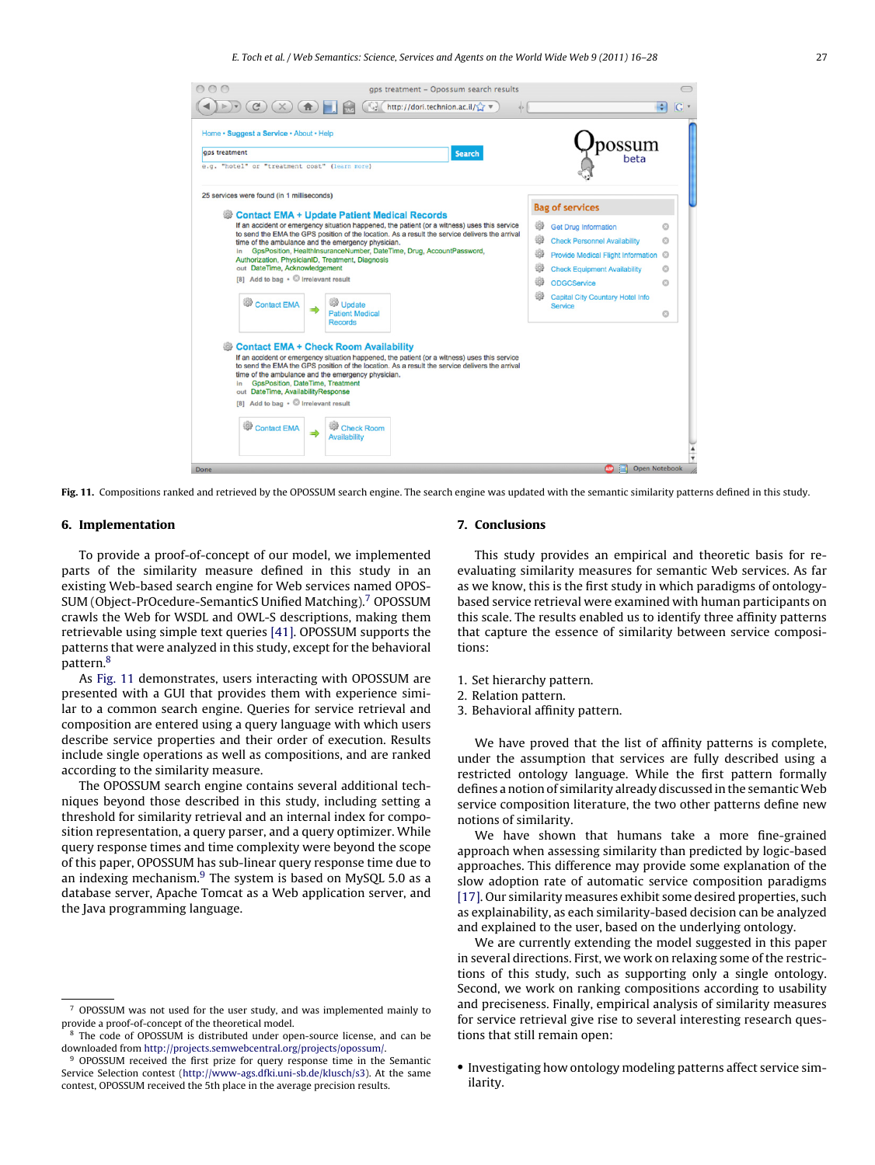E. Toch et al. / Web Semantics: Science, Services and Agents on the World Wide Web *9 (2011) 16–28* 27

<span id="page-11-0"></span>

**Fig. 11.** Compositions ranked and retrieved by the OPOSSUM search engine. The search engine was updated with the semantic similarity patterns defined in this study.

## **6. Implementation**

To provide a proof-of-concept of our model, we implemented parts of the similarity measure defined in this study in an existing Web-based search engine for Web services named OPOS-SUM (Object-PrOcedure-SemanticS Unified Matching).7 OPOSSUM crawls the Web for WSDL and OWL-S descriptions, making them retrievable using simple text queries [\[41\]. O](#page-12-0)POSSUM supports the patterns that were analyzed in this study, except for the behavioral pattern.8

As Fig. 11 demonstrates, users interacting with OPOSSUM are presented with a GUI that provides them with experience similar to a common search engine. Queries for service retrieval and composition are entered using a query language with which users describe service properties and their order of execution. Results include single operations as well as compositions, and are ranked according to the similarity measure.

The OPOSSUM search engine contains several additional techniques beyond those described in this study, including setting a threshold for similarity retrieval and an internal index for composition representation, a query parser, and a query optimizer. While query response times and time complexity were beyond the scope of this paper, OPOSSUM has sub-linear query response time due to an indexing mechanism.<sup>9</sup> The system is based on MySQL 5.0 as a database server, Apache Tomcat as a Web application server, and the Java programming language.

## **7. Conclusions**

This study provides an empirical and theoretic basis for reevaluating similarity measures for semantic Web services. As far as we know, this is the first study in which paradigms of ontologybased service retrieval were examined with human participants on this scale. The results enabled us to identify three affinity patterns that capture the essence of similarity between service compositions:

- 1. Set hierarchy pattern.
- 2. Relation pattern.
- 3. Behavioral affinity pattern.

We have proved that the list of affinity patterns is complete, under the assumption that services are fully described using a restricted ontology language. While the first pattern formally defines a notion of similarity already discussed in the semanticWeb service composition literature, the two other patterns define new notions of similarity.

We have shown that humans take a more fine-grained approach when assessing similarity than predicted by logic-based approaches. This difference may provide some explanation of the slow adoption rate of automatic service composition paradigms [\[17\]. O](#page-12-0)ur similarity measures exhibit some desired properties, such as explainability, as each similarity-based decision can be analyzed and explained to the user, based on the underlying ontology.

We are currently extending the model suggested in this paper in several directions. First, we work on relaxing some of the restrictions of this study, such as supporting only a single ontology. Second, we work on ranking compositions according to usability and preciseness. Finally, empirical analysis of similarity measures for service retrieval give rise to several interesting research questions that still remain open:

• Investigating how ontology modeling patterns affect service similarity.

<sup>7</sup> OPOSSUM was not used for the user study, and was implemented mainly to provide a proof-of-concept of the theoretical model.

<sup>8</sup> The code of OPOSSUM is distributed under open-source license, and can be downloaded from [http://projects.semwebcentral.org/projects/opossum/.](http://projects.semwebcentral.org/projects/opossum/)

<sup>&</sup>lt;sup>9</sup> OPOSSUM received the first prize for query response time in the Semantic Service Selection contest [\(http://www-ags.dfki.uni-sb.de/klusch/s3\)](http://www-ags.dfki.uni-sb.de/klusch/s3). At the same contest, OPOSSUM received the 5th place in the average precision results.